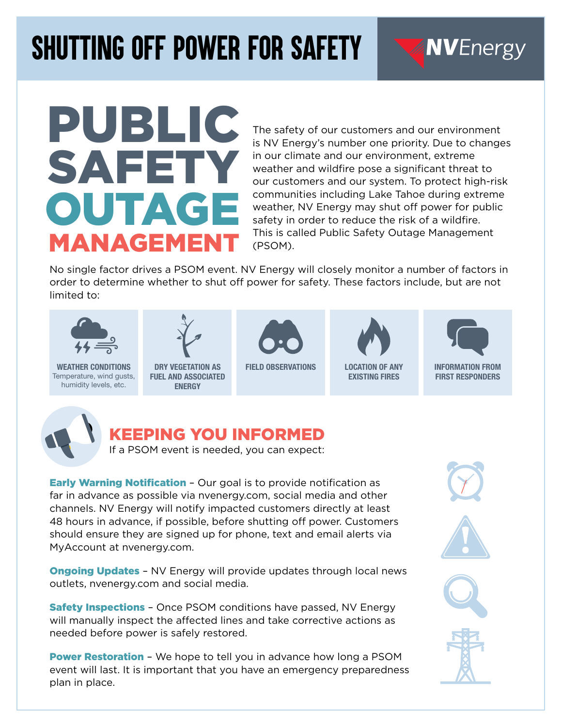## *Shutting Off Power For Safety*

# PUBLIC SAFETY OUTAGE MANAGEMENT

The safety of our customers and our environment is NV Energy's number one priority. Due to changes in our climate and our environment, extreme weather and wildfire pose a significant threat to our customers and our system. To protect high-risk communities including Lake Tahoe during extreme weather, NV Energy may shut off power for public safety in order to reduce the risk of a wildfire. This is called Public Safety Outage Management (PSOM).

No single factor drives a PSOM event. NV Energy will closely monitor a number of factors in order to determine whether to shut off power for safety. These factors include, but are not limited to:



WEATHER CONDITIONS Temperature, wind gusts, humidity levels, etc.



DRY VEGETATION AS FUEL AND ASSOCIATED **ENERGY** 



FIELD OBSERVATIONS LOCATION OF ANY



EXISTING FIRES



**NVEnergy** 

INFORMATION FROM FIRST RESPONDERS



### KEEPING YOU INFORMED

If a PSOM event is needed, you can expect:

**Early Warning Notification - Our goal is to provide notification as** far in advance as possible via nvenergy.com, social media and other channels. NV Energy will notify impacted customers directly at least 48 hours in advance, if possible, before shutting off power. Customers should ensure they are signed up for phone, text and email alerts via MyAccount at nvenergy.com.

**Ongoing Updates - NV Energy will provide updates through local news** outlets, nvenergy.com and social media.

**Safety Inspections -** Once PSOM conditions have passed, NV Energy will manually inspect the affected lines and take corrective actions as needed before power is safely restored.

**Power Restoration** - We hope to tell you in advance how long a PSOM event will last. It is important that you have an emergency preparedness plan in place.